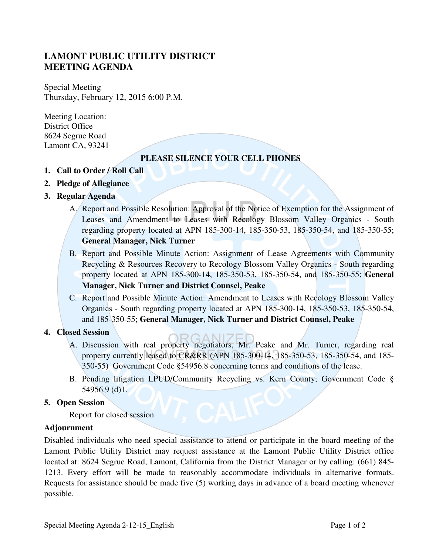# **LAMONT PUBLIC UTILITY DISTRICT MEETING AGENDA**

Special Meeting Thursday, February 12, 2015 6:00 P.M.

Meeting Location: District Office 8624 Segrue Road Lamont CA, 93241

## **PLEASE SILENCE YOUR CELL PHONES**

- **1. Call to Order / Roll Call**
- **2. Pledge of Allegiance**
- **3. Regular Agenda** 
	- A. Report and Possible Resolution: Approval of the Notice of Exemption for the Assignment of Leases and Amendment to Leases with Recology Blossom Valley Organics - South regarding property located at APN 185-300-14, 185-350-53, 185-350-54, and 185-350-55; **General Manager, Nick Turner**
	- B. Report and Possible Minute Action: Assignment of Lease Agreements with Community Recycling & Resources Recovery to Recology Blossom Valley Organics - South regarding property located at APN 185-300-14, 185-350-53, 185-350-54, and 185-350-55; **General Manager, Nick Turner and District Counsel, Peake**
	- C. Report and Possible Minute Action: Amendment to Leases with Recology Blossom Valley Organics - South regarding property located at APN 185-300-14, 185-350-53, 185-350-54, and 185-350-55; **General Manager, Nick Turner and District Counsel, Peake**

### **4. Closed Session**

- A. Discussion with real property negotiators, Mr. Peake and Mr. Turner, regarding real property currently leased to CR&RR (APN 185-300-14, 185-350-53, 185-350-54, and 185- 350-55) Government Code §54956.8 concerning terms and conditions of the lease.
- B. Pending litigation LPUD/Community Recycling vs. Kern County; Government Code § 54956.9 (d)1.

### **5. Open Session**

Report for closed session

### **Adjournment**

Disabled individuals who need special assistance to attend or participate in the board meeting of the Lamont Public Utility District may request assistance at the Lamont Public Utility District office located at: 8624 Segrue Road, Lamont, California from the District Manager or by calling: (661) 845- 1213. Every effort will be made to reasonably accommodate individuals in alternative formats. Requests for assistance should be made five (5) working days in advance of a board meeting whenever possible.